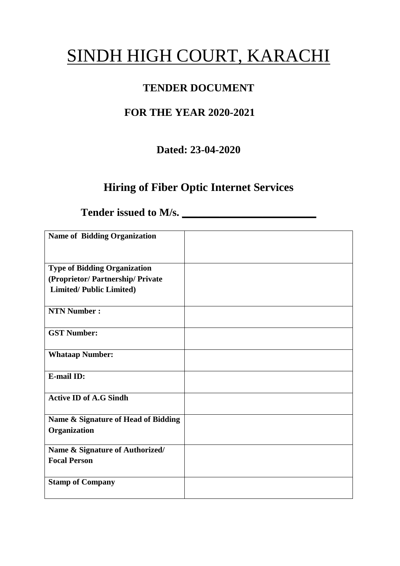# SINDH HIGH COURT, KARACHI

# **TENDER DOCUMENT**

# **FOR THE YEAR 2020-2021**

# **Dated: 23-04-2020**

# **Hiring of Fiber Optic Internet Services**

Tender issued to M/s.

| <b>Name of Bidding Organization</b> |  |
|-------------------------------------|--|
|                                     |  |
|                                     |  |
| <b>Type of Bidding Organization</b> |  |
|                                     |  |
| (Proprietor/Partnership/Private     |  |
| <b>Limited/Public Limited)</b>      |  |
|                                     |  |
| <b>NTN Number:</b>                  |  |
|                                     |  |
| <b>GST Number:</b>                  |  |
|                                     |  |
| <b>Whataap Number:</b>              |  |
|                                     |  |
| <b>E-mail ID:</b>                   |  |
|                                     |  |
| <b>Active ID of A.G Sindh</b>       |  |
|                                     |  |
|                                     |  |
| Name & Signature of Head of Bidding |  |
| Organization                        |  |
|                                     |  |
| Name & Signature of Authorized/     |  |
| <b>Focal Person</b>                 |  |
|                                     |  |
| <b>Stamp of Company</b>             |  |
|                                     |  |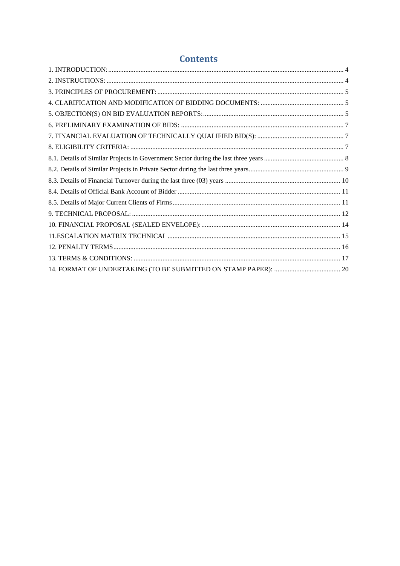### **Contents**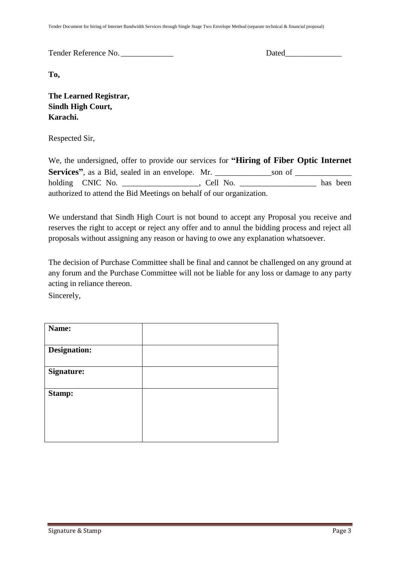Tender Document for hiring of Internet Bandwidth Services through Single Stage Two Envelope Method (separate technical & financial proposal)

Tender Reference No. \_\_\_\_\_\_\_\_\_\_\_\_\_ Dated\_\_\_\_\_\_\_\_\_\_\_\_\_\_

**To,** 

**The Learned Registrar, Sindh High Court, Karachi.**

Respected Sir,

We, the undersigned, offer to provide our services for **"Hiring of Fiber Optic Internet Services"**, as a Bid, sealed in an envelope. Mr. \_\_\_\_\_\_\_\_\_\_\_\_\_\_son of \_\_\_\_\_\_\_\_\_\_\_\_\_\_ holding CNIC No. \_\_\_\_\_\_\_\_\_\_\_\_\_\_\_\_, Cell No. \_\_\_\_\_\_\_\_\_\_\_\_\_\_\_\_\_ has been authorized to attend the Bid Meetings on behalf of our organization.

We understand that Sindh High Court is not bound to accept any Proposal you receive and reserves the right to accept or reject any offer and to annul the bidding process and reject all proposals without assigning any reason or having to owe any explanation whatsoever.

The decision of Purchase Committee shall be final and cannot be challenged on any ground at any forum and the Purchase Committee will not be liable for any loss or damage to any party acting in reliance thereon.

Sincerely,

| Name:               |  |
|---------------------|--|
| <b>Designation:</b> |  |
| <b>Signature:</b>   |  |
| Stamp:              |  |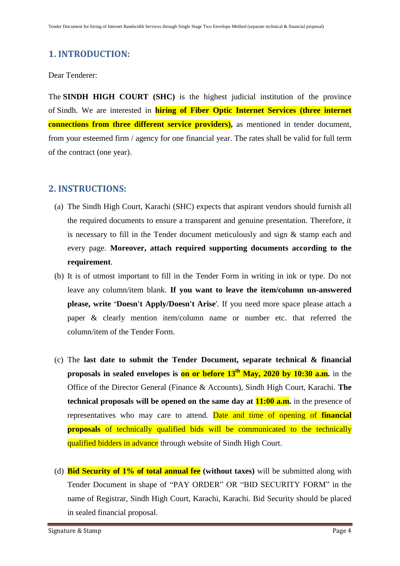# <span id="page-3-0"></span>**1. INTRODUCTION:**

#### Dear Tenderer:

The **SINDH HIGH COURT (SHC)** is the highest judicial institution of the province of [Sindh.](https://en.wikipedia.org/wiki/Sindh) We are interested in **hiring of Fiber Optic Internet Services (three internet connections from three different service providers)**, as mentioned in tender document, from your esteemed firm / agency for one financial year. The rates shall be valid for full term of the contract (one year).

### <span id="page-3-1"></span>**2. INSTRUCTIONS:**

- (a) The Sindh High Court, Karachi (SHC) expects that aspirant vendors should furnish all the required documents to ensure a transparent and genuine presentation. Therefore, it is necessary to fill in the Tender document meticulously and sign & stamp each and every page. **Moreover, attach required supporting documents according to the requirement**.
- (b) It is of utmost important to fill in the Tender Form in writing in ink or type. Do not leave any column/item blank. **If you want to leave the item/column un-answered please, write "Doesn't Apply/Doesn't Arise**'. If you need more space please attach a paper & clearly mention item/column name or number etc. that referred the column/item of the Tender Form.
- (c) The **last date to submit the Tender Document, separate technical & financial proposals in sealed envelopes is on or before 13th May, 2020 by 10:30 a.m.** in the Office of the Director General (Finance & Accounts), Sindh High Court, Karachi. **The technical proposals will be opened on the same day at 11:00 a.m.** in the presence of representatives who may care to attend. Date and time of opening of **financial proposals** of technically qualified bids will be communicated to the technically qualified bidders in advance through website of Sindh High Court.
- (d) **Bid Security of 1% of total annual fee (without taxes)** will be submitted along with Tender Document in shape of "PAY ORDER" OR "BID SECURITY FORM" in the name of Registrar, Sindh High Court, Karachi, Karachi. Bid Security should be placed in sealed financial proposal.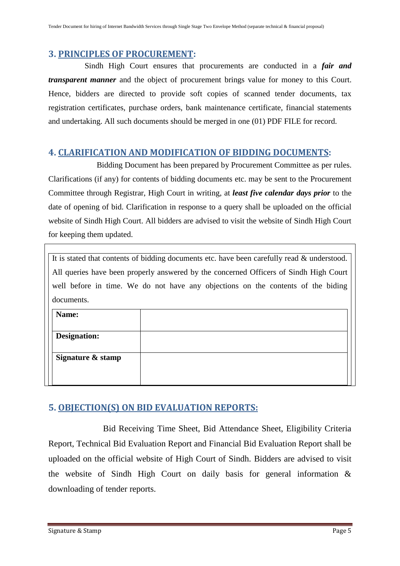#### <span id="page-4-0"></span>**3. PRINCIPLES OF PROCUREMENT:**

 Sindh High Court ensures that procurements are conducted in a *fair and transparent manner* and the object of procurement brings value for money to this Court. Hence, bidders are directed to provide soft copies of scanned tender documents, tax registration certificates, purchase orders, bank maintenance certificate, financial statements and undertaking. All such documents should be merged in one (01) PDF FILE for record.

#### <span id="page-4-1"></span>**4. CLARIFICATION AND MODIFICATION OF BIDDING DOCUMENTS:**

Bidding Document has been prepared by Procurement Committee as per rules. Clarifications (if any) for contents of bidding documents etc. may be sent to the Procurement Committee through Registrar, High Court in writing, at *least five calendar days prior* to the date of opening of bid. Clarification in response to a query shall be uploaded on the official website of Sindh High Court. All bidders are advised to visit the website of Sindh High Court for keeping them updated.

It is stated that contents of bidding documents etc. have been carefully read & understood. All queries have been properly answered by the concerned Officers of Sindh High Court well before in time. We do not have any objections on the contents of the biding documents.

| Name:             |  |
|-------------------|--|
|                   |  |
| Designation:      |  |
|                   |  |
| Signature & stamp |  |
|                   |  |
|                   |  |

### <span id="page-4-2"></span>**5. OBJECTION(S) ON BID EVALUATION REPORTS:**

 Bid Receiving Time Sheet, Bid Attendance Sheet, Eligibility Criteria Report, Technical Bid Evaluation Report and Financial Bid Evaluation Report shall be uploaded on the official website of High Court of Sindh. Bidders are advised to visit the website of Sindh High Court on daily basis for general information & downloading of tender reports.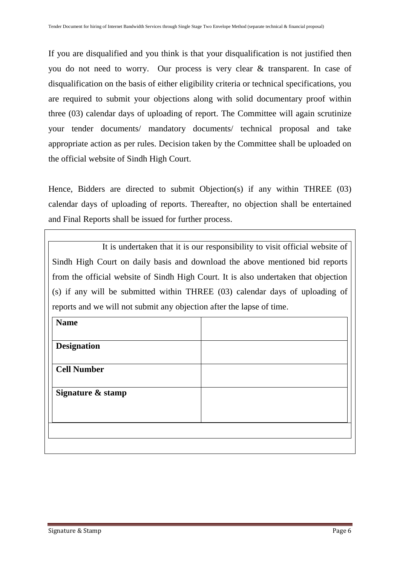If you are disqualified and you think is that your disqualification is not justified then you do not need to worry. Our process is very clear & transparent. In case of disqualification on the basis of either eligibility criteria or technical specifications, you are required to submit your objections along with solid documentary proof within three (03) calendar days of uploading of report. The Committee will again scrutinize your tender documents/ mandatory documents/ technical proposal and take appropriate action as per rules. Decision taken by the Committee shall be uploaded on the official website of Sindh High Court.

Hence, Bidders are directed to submit Objection(s) if any within THREE (03) calendar days of uploading of reports. Thereafter, no objection shall be entertained and Final Reports shall be issued for further process.

 It is undertaken that it is our responsibility to visit official website of Sindh High Court on daily basis and download the above mentioned bid reports from the official website of Sindh High Court. It is also undertaken that objection (s) if any will be submitted within THREE (03) calendar days of uploading of reports and we will not submit any objection after the lapse of time.

| <b>Name</b>        |  |
|--------------------|--|
| <b>Designation</b> |  |
| <b>Cell Number</b> |  |
| Signature & stamp  |  |
|                    |  |
|                    |  |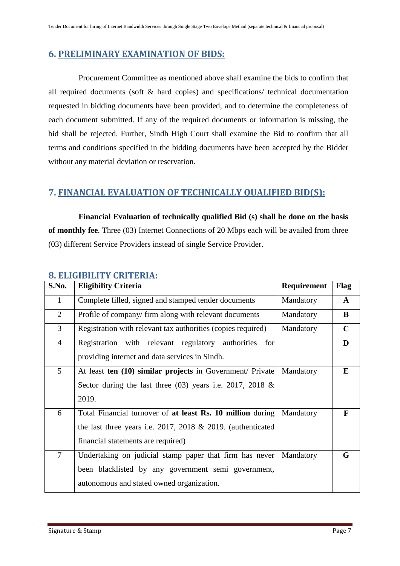### <span id="page-6-0"></span>**6. PRELIMINARY EXAMINATION OF BIDS:**

 Procurement Committee as mentioned above shall examine the bids to confirm that all required documents (soft & hard copies) and specifications/ technical documentation requested in bidding documents have been provided, and to determine the completeness of each document submitted. If any of the required documents or information is missing, the bid shall be rejected. Further, Sindh High Court shall examine the Bid to confirm that all terms and conditions specified in the bidding documents have been accepted by the Bidder without any material deviation or reservation.

#### <span id="page-6-1"></span>**7. FINANCIAL EVALUATION OF TECHNICALLY QUALIFIED BID(S):**

 **Financial Evaluation of technically qualified Bid (s) shall be done on the basis of monthly fee**. Three (03) Internet Connections of 20 Mbps each will be availed from three (03) different Service Providers instead of single Service Provider.

| S.No.          | <b>Eligibility Criteria</b>                                        | Requirement | Flag         |
|----------------|--------------------------------------------------------------------|-------------|--------------|
| $\mathbf{1}$   | Complete filled, signed and stamped tender documents               | Mandatory   | $\mathbf{A}$ |
| 2              | Profile of company/ firm along with relevant documents             | Mandatory   | $\bf{B}$     |
| $\overline{3}$ | Registration with relevant tax authorities (copies required)       | Mandatory   | $\mathbf C$  |
| $\overline{4}$ | Registration with relevant regulatory authorities for              |             | D            |
|                | providing internet and data services in Sindh.                     |             |              |
| $\overline{5}$ | At least ten (10) similar projects in Government/ Private          | Mandatory   | E            |
|                | Sector during the last three $(03)$ years i.e. 2017, 2018 &        |             |              |
|                | 2019.                                                              |             |              |
| 6              | Total Financial turnover of at least Rs. 10 million during         | Mandatory   | $\mathbf{F}$ |
|                | the last three years i.e. $2017$ , $2018 \& 2019$ . (authenticated |             |              |
|                | financial statements are required)                                 |             |              |
| $\overline{7}$ | Undertaking on judicial stamp paper that firm has never            | Mandatory   | G            |
|                | been blacklisted by any government semi government,                |             |              |
|                | autonomous and stated owned organization.                          |             |              |

#### <span id="page-6-2"></span>**8. ELIGIBILITY CRITERIA:**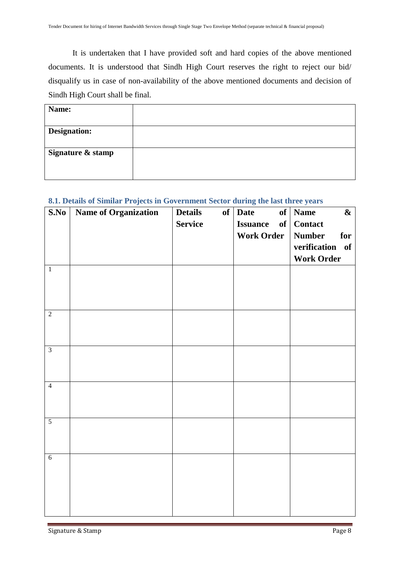It is undertaken that I have provided soft and hard copies of the above mentioned documents. It is understood that Sindh High Court reserves the right to reject our bid/ disqualify us in case of non-availability of the above mentioned documents and decision of Sindh High Court shall be final.

| Name:               |  |
|---------------------|--|
|                     |  |
| <b>Designation:</b> |  |
|                     |  |
| Signature & stamp   |  |
|                     |  |
|                     |  |

#### <span id="page-7-0"></span>**8.1. Details of Similar Projects in Government Sector during the last three years**

| S.No           | <b>Name of Organization</b> | <b>Details</b><br>of<br><b>Service</b> | <b>Date</b><br><b>Issuance</b><br>of<br><b>Work Order</b> | $of$ Name<br>$\boldsymbol{\&}$<br><b>Contact</b><br><b>Number</b><br>for<br>verification of<br><b>Work Order</b> |
|----------------|-----------------------------|----------------------------------------|-----------------------------------------------------------|------------------------------------------------------------------------------------------------------------------|
| $\,1\,$        |                             |                                        |                                                           |                                                                                                                  |
| $\overline{2}$ |                             |                                        |                                                           |                                                                                                                  |
| $\overline{3}$ |                             |                                        |                                                           |                                                                                                                  |
| $\overline{4}$ |                             |                                        |                                                           |                                                                                                                  |
| $\overline{5}$ |                             |                                        |                                                           |                                                                                                                  |
| $\overline{6}$ |                             |                                        |                                                           |                                                                                                                  |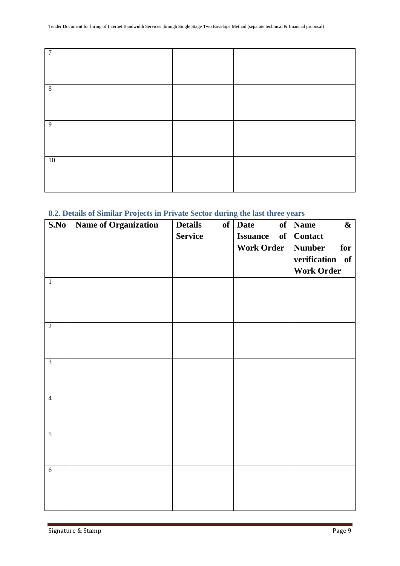| $\overline{7}$ |  |  |
|----------------|--|--|
| 8              |  |  |
| 9              |  |  |
| 10             |  |  |

#### <span id="page-8-0"></span>**8.2. Details of Similar Projects in Private Sector during the last three years**

| S.No           | <b>Name of Organization</b> | <b>Details</b> | $of$ Date             | of   Name<br>$\boldsymbol{\&}$ |
|----------------|-----------------------------|----------------|-----------------------|--------------------------------|
|                |                             | <b>Service</b> | <b>Issuance</b><br>of | <b>Contact</b>                 |
|                |                             |                | <b>Work Order</b>     | <b>Number</b><br>for           |
|                |                             |                |                       | verification of                |
|                |                             |                |                       | <b>Work Order</b>              |
| $\mathbf{1}$   |                             |                |                       |                                |
|                |                             |                |                       |                                |
|                |                             |                |                       |                                |
|                |                             |                |                       |                                |
| $\overline{2}$ |                             |                |                       |                                |
|                |                             |                |                       |                                |
|                |                             |                |                       |                                |
| $\overline{3}$ |                             |                |                       |                                |
|                |                             |                |                       |                                |
|                |                             |                |                       |                                |
| $\overline{4}$ |                             |                |                       |                                |
|                |                             |                |                       |                                |
|                |                             |                |                       |                                |
| $\overline{5}$ |                             |                |                       |                                |
|                |                             |                |                       |                                |
|                |                             |                |                       |                                |
| $\overline{6}$ |                             |                |                       |                                |
|                |                             |                |                       |                                |
|                |                             |                |                       |                                |
|                |                             |                |                       |                                |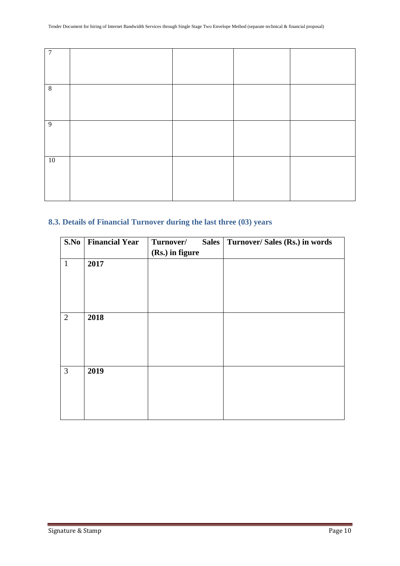#### <span id="page-9-0"></span>**8.3. Details of Financial Turnover during the last three (03) years**

| S.No           | <b>Financial Year</b> | Turnover/       | Sales | Turnover/ Sales (Rs.) in words |
|----------------|-----------------------|-----------------|-------|--------------------------------|
|                |                       | (Rs.) in figure |       |                                |
| $\mathbf{1}$   | 2017                  |                 |       |                                |
|                |                       |                 |       |                                |
|                |                       |                 |       |                                |
|                |                       |                 |       |                                |
|                |                       |                 |       |                                |
| $\overline{2}$ | 2018                  |                 |       |                                |
|                |                       |                 |       |                                |
|                |                       |                 |       |                                |
|                |                       |                 |       |                                |
|                |                       |                 |       |                                |
| 3              | 2019                  |                 |       |                                |
|                |                       |                 |       |                                |
|                |                       |                 |       |                                |
|                |                       |                 |       |                                |
|                |                       |                 |       |                                |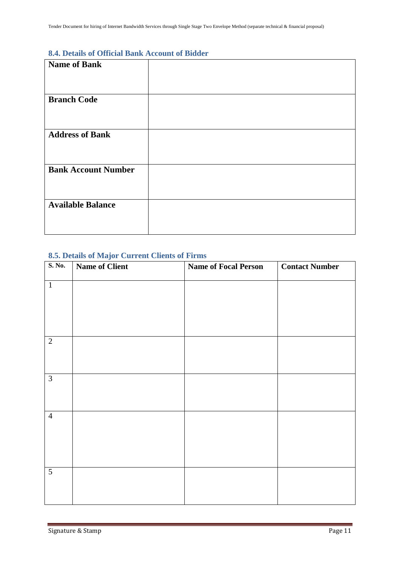#### <span id="page-10-0"></span>**8.4. Details of Official Bank Account of Bidder**

| <b>Name of Bank</b>        |  |
|----------------------------|--|
|                            |  |
|                            |  |
| <b>Branch Code</b>         |  |
|                            |  |
|                            |  |
| <b>Address of Bank</b>     |  |
|                            |  |
|                            |  |
| <b>Bank Account Number</b> |  |
|                            |  |
|                            |  |
| <b>Available Balance</b>   |  |
|                            |  |
|                            |  |

#### <span id="page-10-1"></span>**8.5. Details of Major Current Clients of Firms**

| S. No.         | <b>Name of Client</b> | <b>Name of Focal Person</b> | <b>Contact Number</b> |
|----------------|-----------------------|-----------------------------|-----------------------|
| $\mathbf{1}$   |                       |                             |                       |
| $\overline{2}$ |                       |                             |                       |
| $\overline{3}$ |                       |                             |                       |
| $\overline{4}$ |                       |                             |                       |
| $\overline{5}$ |                       |                             |                       |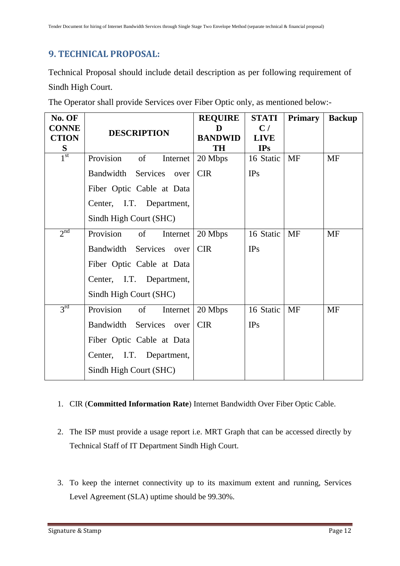## <span id="page-11-0"></span>**9. TECHNICAL PROPOSAL:**

Technical Proposal should include detail description as per following requirement of Sindh High Court.

|  |  |  |  | The Operator shall provide Services over Fiber Optic only, as mentioned below:- |  |
|--|--|--|--|---------------------------------------------------------------------------------|--|
|  |  |  |  |                                                                                 |  |

| No. OF                       |                             | <b>REQUIRE</b>      | <b>STATI</b>      | <b>Primary</b> | <b>Backup</b> |
|------------------------------|-----------------------------|---------------------|-------------------|----------------|---------------|
| <b>CONNE</b><br><b>CTION</b> | <b>DESCRIPTION</b>          | D<br><b>BANDWID</b> | C/<br><b>LIVE</b> |                |               |
| S                            |                             | TH                  | <b>IPs</b>        |                |               |
| 1 <sup>st</sup>              | Provision<br>of<br>Internet | 20 Mbps             | 16 Static         | <b>MF</b>      | <b>MF</b>     |
|                              | Bandwidth Services<br>over  | <b>CIR</b>          | IPs               |                |               |
|                              | Fiber Optic Cable at Data   |                     |                   |                |               |
|                              | Center, I.T. Department,    |                     |                   |                |               |
|                              | Sindh High Court (SHC)      |                     |                   |                |               |
| 2 <sup>nd</sup>              | Provision<br>of<br>Internet | 20 Mbps             | 16 Static         | <b>MF</b>      | <b>MF</b>     |
|                              | Bandwidth Services<br>over  | <b>CIR</b>          | IPs               |                |               |
|                              | Fiber Optic Cable at Data   |                     |                   |                |               |
|                              | Center, I.T. Department,    |                     |                   |                |               |
|                              | Sindh High Court (SHC)      |                     |                   |                |               |
| 3 <sup>rd</sup>              | Provision<br>of<br>Internet | 20 Mbps             | 16 Static         | <b>MF</b>      | <b>MF</b>     |
|                              | Bandwidth Services<br>over  | <b>CIR</b>          | IPs               |                |               |
|                              | Fiber Optic Cable at Data   |                     |                   |                |               |
|                              | Center, I.T. Department,    |                     |                   |                |               |
|                              | Sindh High Court (SHC)      |                     |                   |                |               |

#### 1. CIR (**Committed Information Rate**) Internet Bandwidth Over Fiber Optic Cable.

- 2. The ISP must provide a usage report i.e. MRT Graph that can be accessed directly by Technical Staff of IT Department Sindh High Court.
- 3. To keep the internet connectivity up to its maximum extent and running, Services Level Agreement (SLA) uptime should be 99.30%.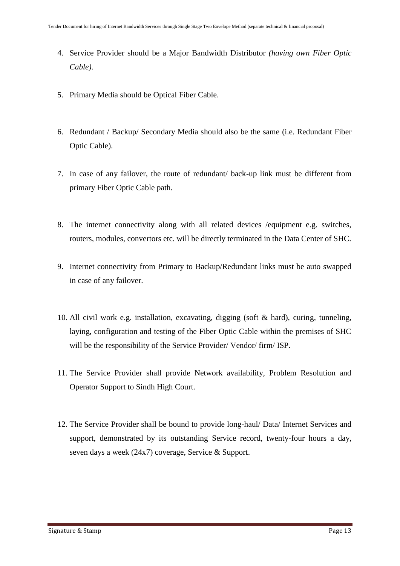- 4. Service Provider should be a Major Bandwidth Distributor *(having own Fiber Optic Cable)*.
- 5. Primary Media should be Optical Fiber Cable.
- 6. Redundant / Backup/ Secondary Media should also be the same (i.e. Redundant Fiber Optic Cable).
- 7. In case of any failover, the route of redundant/ back-up link must be different from primary Fiber Optic Cable path.
- 8. The internet connectivity along with all related devices /equipment e.g. switches, routers, modules, convertors etc. will be directly terminated in the Data Center of SHC.
- 9. Internet connectivity from Primary to Backup/Redundant links must be auto swapped in case of any failover.
- 10. All civil work e.g. installation, excavating, digging (soft & hard), curing, tunneling, laying, configuration and testing of the Fiber Optic Cable within the premises of SHC will be the responsibility of the Service Provider/ Vendor/ firm/ ISP.
- 11. The Service Provider shall provide Network availability, Problem Resolution and Operator Support to Sindh High Court.
- 12. The Service Provider shall be bound to provide long-haul/ Data/ Internet Services and support, demonstrated by its outstanding Service record, twenty-four hours a day, seven days a week (24x7) coverage, Service & Support.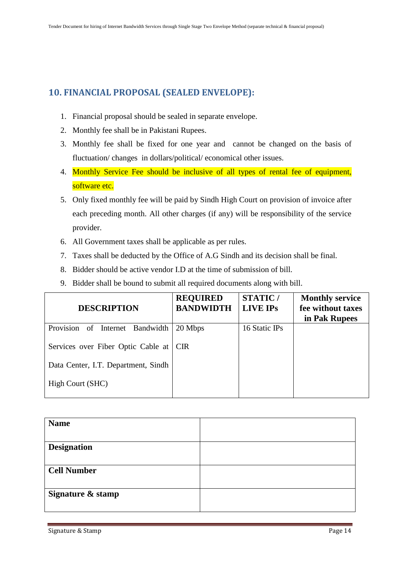### <span id="page-13-0"></span>**10. FINANCIAL PROPOSAL (SEALED ENVELOPE):**

- 1. Financial proposal should be sealed in separate envelope.
- 2. Monthly fee shall be in Pakistani Rupees.
- 3. Monthly fee shall be fixed for one year and cannot be changed on the basis of fluctuation/ changes in dollars/political/ economical other issues.
- 4. Monthly Service Fee should be inclusive of all types of rental fee of equipment, software etc.
- 5. Only fixed monthly fee will be paid by Sindh High Court on provision of invoice after each preceding month. All other charges (if any) will be responsibility of the service provider.
- 6. All Government taxes shall be applicable as per rules.
- 7. Taxes shall be deducted by the Office of A.G Sindh and its decision shall be final.
- 8. Bidder should be active vendor I.D at the time of submission of bill.
- 9. Bidder shall be bound to submit all required documents along with bill.

| <b>DESCRIPTION</b>                  | <b>REQUIRED</b><br><b>BANDWIDTH</b> | <b>STATIC/</b><br>LIVE IPS | <b>Monthly service</b><br>fee without taxes |
|-------------------------------------|-------------------------------------|----------------------------|---------------------------------------------|
|                                     |                                     |                            | in Pak Rupees                               |
| Provision of<br>Internet Bandwidth  | 20 Mbps                             | 16 Static IPs              |                                             |
| Services over Fiber Optic Cable at  | I CIR-                              |                            |                                             |
| Data Center, I.T. Department, Sindh |                                     |                            |                                             |
| High Court (SHC)                    |                                     |                            |                                             |

| <b>Name</b>        |  |
|--------------------|--|
|                    |  |
| <b>Designation</b> |  |
|                    |  |
| <b>Cell Number</b> |  |
|                    |  |
| Signature & stamp  |  |
|                    |  |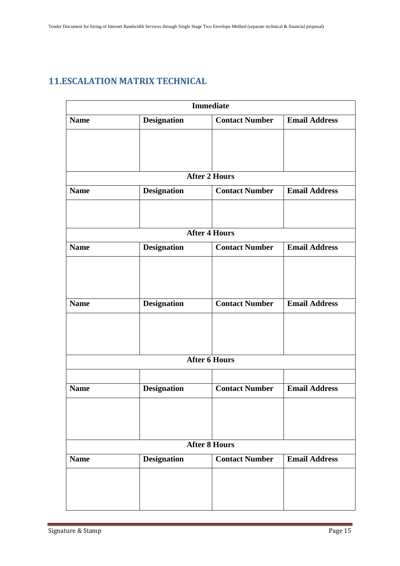# <span id="page-14-0"></span>**11.ESCALATION MATRIX TECHNICAL**

|             |                    | <b>Immediate</b>      |                      |
|-------------|--------------------|-----------------------|----------------------|
| <b>Name</b> | <b>Designation</b> | <b>Contact Number</b> | <b>Email Address</b> |
|             |                    |                       |                      |
|             |                    |                       |                      |
|             |                    |                       |                      |
|             |                    | <b>After 2 Hours</b>  |                      |
| <b>Name</b> | <b>Designation</b> | <b>Contact Number</b> | <b>Email Address</b> |
|             |                    |                       |                      |
|             |                    |                       |                      |
|             |                    | <b>After 4 Hours</b>  |                      |
| <b>Name</b> | <b>Designation</b> | <b>Contact Number</b> | <b>Email Address</b> |
|             |                    |                       |                      |
|             |                    |                       |                      |
|             |                    |                       |                      |
| <b>Name</b> | <b>Designation</b> | <b>Contact Number</b> | <b>Email Address</b> |
|             |                    |                       |                      |
|             |                    |                       |                      |
|             |                    |                       |                      |
|             |                    | <b>After 6 Hours</b>  |                      |
|             |                    |                       |                      |
| <b>Name</b> | <b>Designation</b> | <b>Contact Number</b> | <b>Email Address</b> |
|             |                    |                       |                      |
|             |                    |                       |                      |
|             |                    |                       |                      |
|             |                    | <b>After 8 Hours</b>  |                      |
| <b>Name</b> | <b>Designation</b> | <b>Contact Number</b> | <b>Email Address</b> |
|             |                    |                       |                      |
|             |                    |                       |                      |
|             |                    |                       |                      |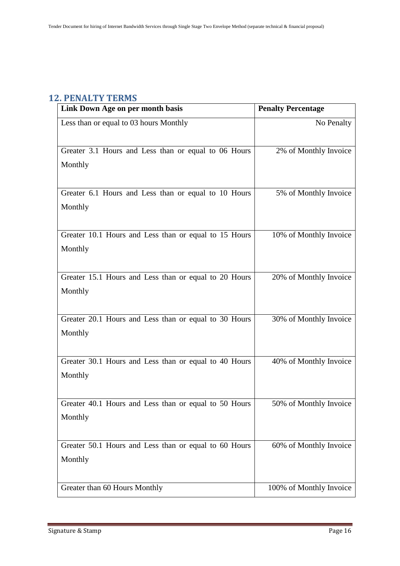### <span id="page-15-0"></span>**12. PENALTY TERMS**

| Link Down Age on per month basis                      | <b>Penalty Percentage</b> |
|-------------------------------------------------------|---------------------------|
| Less than or equal to 03 hours Monthly                | No Penalty                |
| Greater 3.1 Hours and Less than or equal to 06 Hours  | 2% of Monthly Invoice     |
| Monthly                                               |                           |
| Greater 6.1 Hours and Less than or equal to 10 Hours  | 5% of Monthly Invoice     |
| Monthly                                               |                           |
| Greater 10.1 Hours and Less than or equal to 15 Hours | 10% of Monthly Invoice    |
| Monthly                                               |                           |
| Greater 15.1 Hours and Less than or equal to 20 Hours | 20% of Monthly Invoice    |
| Monthly                                               |                           |
| Greater 20.1 Hours and Less than or equal to 30 Hours | 30% of Monthly Invoice    |
| Monthly                                               |                           |
| Greater 30.1 Hours and Less than or equal to 40 Hours | 40% of Monthly Invoice    |
| Monthly                                               |                           |
| Greater 40.1 Hours and Less than or equal to 50 Hours | 50% of Monthly Invoice    |
| Monthly                                               |                           |
| Greater 50.1 Hours and Less than or equal to 60 Hours | 60% of Monthly Invoice    |
| Monthly                                               |                           |
| Greater than 60 Hours Monthly                         | 100% of Monthly Invoice   |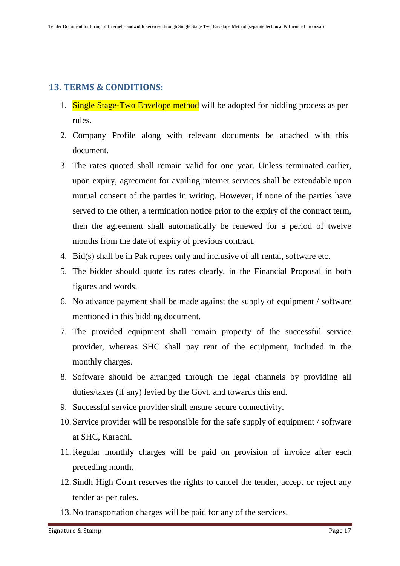### <span id="page-16-0"></span>**13. TERMS & CONDITIONS:**

- 1. Single Stage-Two Envelope method will be adopted for bidding process as per rules.
- 2. Company Profile along with relevant documents be attached with this document.
- 3. The rates quoted shall remain valid for one year. Unless terminated earlier, upon expiry, agreement for availing internet services shall be extendable upon mutual consent of the parties in writing. However, if none of the parties have served to the other, a termination notice prior to the expiry of the contract term, then the agreement shall automatically be renewed for a period of twelve months from the date of expiry of previous contract.
- 4. Bid(s) shall be in Pak rupees only and inclusive of all rental, software etc.
- 5. The bidder should quote its rates clearly, in the Financial Proposal in both figures and words.
- 6. No advance payment shall be made against the supply of equipment / software mentioned in this bidding document.
- 7. The provided equipment shall remain property of the successful service provider, whereas SHC shall pay rent of the equipment, included in the monthly charges.
- 8. Software should be arranged through the legal channels by providing all duties/taxes (if any) levied by the Govt. and towards this end.
- 9. Successful service provider shall ensure secure connectivity.
- 10.Service provider will be responsible for the safe supply of equipment / software at SHC, Karachi.
- 11.Regular monthly charges will be paid on provision of invoice after each preceding month.
- 12.Sindh High Court reserves the rights to cancel the tender, accept or reject any tender as per rules.
- 13.No transportation charges will be paid for any of the services.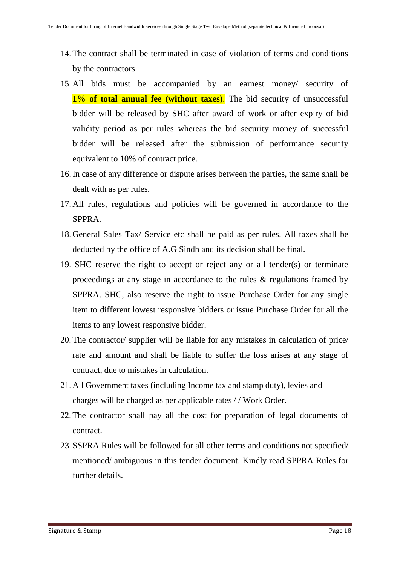- 14.The contract shall be terminated in case of violation of terms and conditions by the contractors.
- 15. All bids must be accompanied by an earnest money/ security of **1% of total annual fee (without taxes)**. The bid security of unsuccessful bidder will be released by SHC after award of work or after expiry of bid validity period as per rules whereas the bid security money of successful bidder will be released after the submission of performance security equivalent to 10% of contract price.
- 16.In case of any difference or dispute arises between the parties, the same shall be dealt with as per rules.
- 17.All rules, regulations and policies will be governed in accordance to the SPPRA.
- 18.General Sales Tax/ Service etc shall be paid as per rules. All taxes shall be deducted by the office of A.G Sindh and its decision shall be final.
- 19. SHC reserve the right to accept or reject any or all tender(s) or terminate proceedings at any stage in accordance to the rules & regulations framed by SPPRA. SHC, also reserve the right to issue Purchase Order for any single item to different lowest responsive bidders or issue Purchase Order for all the items to any lowest responsive bidder.
- 20. The contractor/ supplier will be liable for any mistakes in calculation of price/ rate and amount and shall be liable to suffer the loss arises at any stage of contract, due to mistakes in calculation.
- 21.All Government taxes (including Income tax and stamp duty), levies and charges will be charged as per applicable rates / / Work Order.
- 22. The contractor shall pay all the cost for preparation of legal documents of contract.
- 23.SSPRA Rules will be followed for all other terms and conditions not specified/ mentioned/ ambiguous in this tender document. Kindly read SPPRA Rules for further details.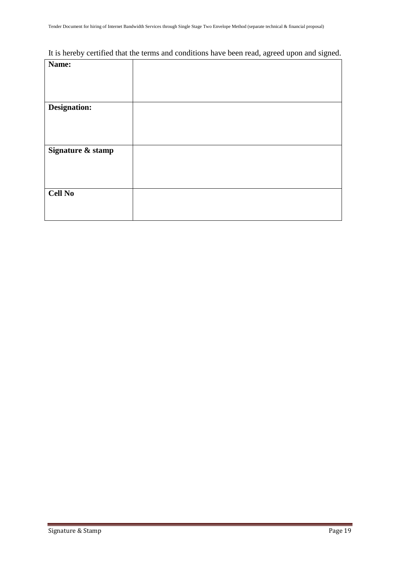# It is hereby certified that the terms and conditions have been read, agreed upon and signed.

| Name:               |  |
|---------------------|--|
|                     |  |
|                     |  |
|                     |  |
| <b>Designation:</b> |  |
|                     |  |
|                     |  |
|                     |  |
| Signature & stamp   |  |
|                     |  |
|                     |  |
|                     |  |
| <b>Cell No</b>      |  |
|                     |  |
|                     |  |